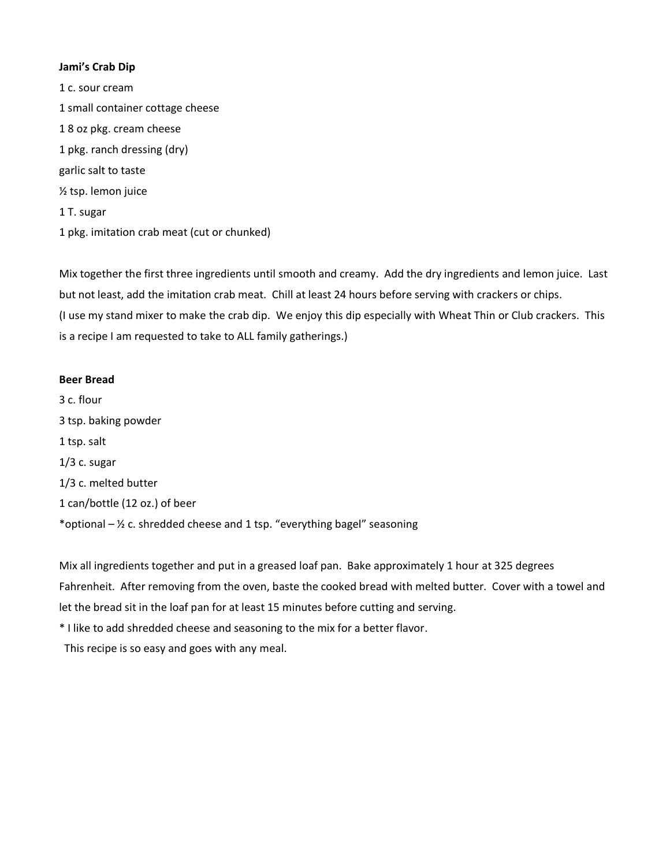## **Jami's Crab Dip**

1 c. sour cream 1 small container cottage cheese 1 8 oz pkg. cream cheese 1 pkg. ranch dressing (dry) garlic salt to taste ½ tsp. lemon juice 1 T. sugar 1 pkg. imitation crab meat (cut or chunked)

Mix together the first three ingredients until smooth and creamy. Add the dry ingredients and lemon juice. Last but not least, add the imitation crab meat. Chill at least 24 hours before serving with crackers or chips. (I use my stand mixer to make the crab dip. We enjoy this dip especially with Wheat Thin or Club crackers. This is a recipe I am requested to take to ALL family gatherings.)

# **Beer Bread**

3 c. flour 3 tsp. baking powder 1 tsp. salt 1/3 c. sugar 1/3 c. melted butter 1 can/bottle (12 oz.) of beer \*optional  $\frac{1}{2}$  c. shredded cheese and 1 tsp. "everything bagel" seasoning

Mix all ingredients together and put in a greased loaf pan. Bake approximately 1 hour at 325 degrees Fahrenheit. After removing from the oven, baste the cooked bread with melted butter. Cover with a towel and let the bread sit in the loaf pan for at least 15 minutes before cutting and serving.

\* I like to add shredded cheese and seasoning to the mix for a better flavor.

This recipe is so easy and goes with any meal.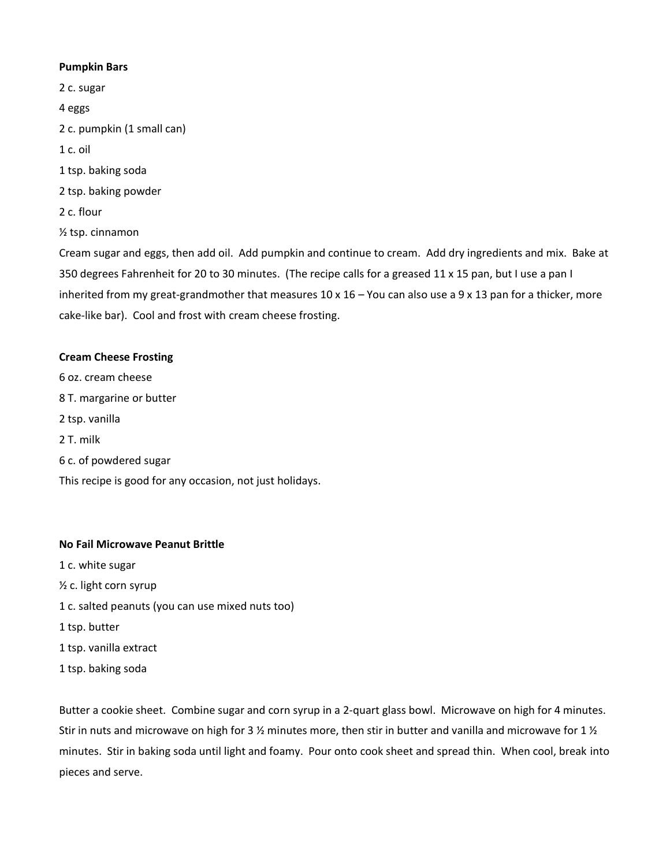## **Pumpkin Bars**

2 c. sugar 4 eggs 2 c. pumpkin (1 small can) 1 c. oil 1 tsp. baking soda 2 tsp. baking powder 2 c. flour ½ tsp. cinnamon Cream sugar and eggs, then add oil. Add pumpkin and continue to cream. Add dry ingredients and mix. Bake at 350 degrees Fahrenheit for 20 to 30 minutes. (The recipe calls for a greased 11 x 15 pan, but I use a pan I inherited from my great-grandmother that measures  $10 \times 16 -$  You can also use a 9 x 13 pan for a thicker, more

#### **Cream Cheese Frosting**

6 oz. cream cheese 8 T. margarine or butter 2 tsp. vanilla 2 T. milk 6 c. of powdered sugar This recipe is good for any occasion, not just holidays.

cake-like bar). Cool and frost with cream cheese frosting.

## **No Fail Microwave Peanut Brittle**

- 1 c. white sugar
- ½ c. light corn syrup
- 1 c. salted peanuts (you can use mixed nuts too)
- 1 tsp. butter
- 1 tsp. vanilla extract
- 1 tsp. baking soda

Butter a cookie sheet. Combine sugar and corn syrup in a 2-quart glass bowl. Microwave on high for 4 minutes. Stir in nuts and microwave on high for 3  $\frac{1}{2}$  minutes more, then stir in butter and vanilla and microwave for 1  $\frac{1}{2}$ minutes. Stir in baking soda until light and foamy. Pour onto cook sheet and spread thin. When cool, break into pieces and serve.